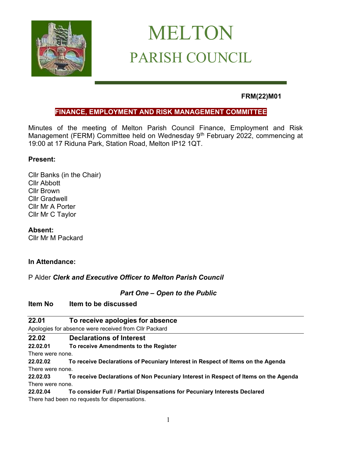

# MELTON PARISH COUNCIL

# **FRM(22)M01**

# **FINANCE, EMPLOYMENT AND RISK MANAGEMENT COMMITTEE**

Minutes of the meeting of Melton Parish Council Finance, Employment and Risk Management (FERM) Committee held on Wednesday 9<sup>th</sup> February 2022, commencing at 19:00 at 17 Riduna Park, Station Road, Melton IP12 1QT.

# **Present:**

Cllr Banks (in the Chair) Cllr Abbott Cllr Brown Cllr Gradwell Cllr Mr A Porter Cllr Mr C Taylor

# **Absent:**

Cllr Mr M Packard

# **In Attendance:**

P Alder *Clerk and Executive Officer to Melton Parish Council*

# *Part One – Open to the Public*

**Item No Item to be discussed**

| 22.01                                                 | To receive apologies for absence                                                    |
|-------------------------------------------------------|-------------------------------------------------------------------------------------|
| Apologies for absence were received from Cllr Packard |                                                                                     |
| 22.02                                                 | <b>Declarations of Interest</b>                                                     |
| 22.02.01                                              | To receive Amendments to the Register                                               |
| There were none.                                      |                                                                                     |
| 22.02.02                                              | To receive Declarations of Pecuniary Interest in Respect of Items on the Agenda     |
| There were none.                                      |                                                                                     |
| 22.02.03                                              | To receive Declarations of Non Pecuniary Interest in Respect of Items on the Agenda |

# There were none. **22.02.04 To consider Full / Partial Dispensations for Pecuniary Interests Declared**

There had been no requests for dispensations.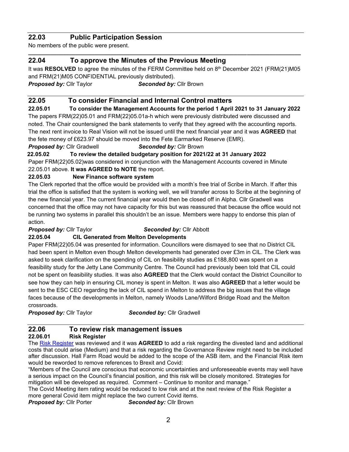# **22.03 Public Participation Session**

No members of the public were present.

# **22.04 To approve the Minutes of the Previous Meeting**

It was RESOLVED to agree the minutes of the FERM Committee held on 8th December 2021 (FRM(21)M05 and FRM(21)M05 CONFIDENTIAL previously distributed).

**\_\_\_\_\_\_\_\_\_\_\_\_\_\_\_\_\_\_\_\_\_\_\_\_\_\_\_\_\_\_\_\_\_\_\_\_\_\_\_\_\_\_\_\_\_\_\_\_\_\_\_\_\_\_\_\_\_\_\_\_\_\_\_\_\_\_\_\_\_\_\_\_\_\_\_\_\_\_\_\_\_\_\_\_\_\_**

*Proposed by:* Cllr Taylor*Seconded by:* Cllr Brown

# **22.05 To consider Financial and Internal Control matters**

**22.05.01 To consider the Management Accounts for the period 1 April 2021 to 31 January 2022** The papers FRM(22)05.01 and FRM(22)05.01a-h which were previously distributed were discussed and noted. The Chair countersigned the bank statements to verify that they agreed with the accounting reports. The next rent invoice to Real Vision will not be issued until the next financial year and it was **AGREED** that the fete money of £623.97 should be moved into the Fete Earmarked Reserve (EMR).

*Proposed by:* Cllr Gradwell*Seconded by:* Cllr Brown

 **22.05.02 To review the detailed budgetary position for 2021/22 at 31 January 2022** Paper FRM(22)05.02)was considered in conjunction with the Management Accounts covered in Minute 22.05.01 above. **It was AGREED to NOTE** the report.

#### **22.05.03 New Finance software system**

The Clerk reported that the office would be provided with a month's free trial of Scribe in March. If after this trial the office is satisfied that the system is working well, we will transfer across to Scribe at the beginning of the new financial year. The current financial year would then be closed off in Alpha. Cllr Gradwell was concerned that the office may not have capacity for this but was reassured that because the office would not be running two systems in parallel this shouldn't be an issue. Members were happy to endorse this plan of action.

*Proposed by:* Cllr Taylor*Seconded by:* Cllr Abbott

#### **22.05.04 CIL Generated from Melton Developments**

Paper FRM(22)05.04 was presented for information. Councillors were dismayed to see that no District CIL had been spent in Melton even though Melton developments had generated over £3m in CIL. The Clerk was asked to seek clarification on the spending of CIL on feasibility studies as £188,800 was spent on a feasibility study for the Jetty Lane Community Centre. The Council had previously been told that CIL could not be spent on feasibility studies. It was also **AGREED** that the Clerk would contact the District Councillor to see how they can help in ensuring CIL money is spent in Melton. It was also **AGREED** that a letter would be sent to the ESC CEO regarding the lack of CIL spend in Melton to address the big issues that the village faces because of the developments in Melton, namely Woods Lane/Wilford Bridge Road and the Melton crossroads.

*Proposed by:* Cllr Taylor*Seconded by:* Cllr Gradwell

# **22.06 To review risk management issues 22.06.01 Risk Register**

The [Risk Register](https://melton-suffolk-pc.gov.uk/documents-base/risk-register/) was reviewed and it was **AGREED** to add a risk regarding the divested land and additional costs that could arise (Medium) and that a risk regarding the Governance Review might need to be included after discussion. Hall Farm Road would be added to the scope of the ASB item, and the Financial Risk item would be reworded to remove references to Brexit and Covid:

"Members of the Council are conscious that economic uncertainties and unforeseeable events may well have a serious impact on the Council's financial position, and this risk will be closely monitored. Strategies for mitigation will be developed as required. Comment – Continue to monitor and manage."

The Covid Meeting item rating would be reduced to low risk and at the next review of the Risk Register a more general Covid item might replace the two current Covid items.

*Proposed by:* Cllr Porter*Seconded by:* Cllr Brown